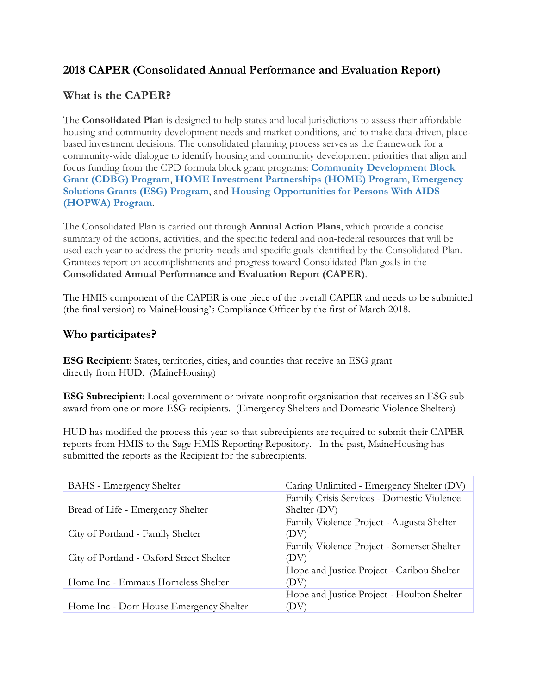## **2018 CAPER (Consolidated Annual Performance and Evaluation Report)**

### **What is the CAPER?**

The **Consolidated Plan** is designed to help states and local jurisdictions to assess their affordable housing and community development needs and market conditions, and to make data-driven, placebased investment decisions. The consolidated planning process serves as the framework for a community-wide dialogue to identify housing and community development priorities that align and focus funding from the CPD formula block grant programs: **[Community Development Block](https://www.hudexchange.info/community-development) [Grant \(CDBG\) Program](https://www.hudexchange.info/community-development)**, **[HOME Investment Partnerships \(HOME\) Program](https://www.hudexchange.info/home)**, **[Emergency](https://www.hudexchange.info/esg/)  [Solutions Grants \(ESG\) Program](https://www.hudexchange.info/esg/)**, and **[Housing Opportunities for Persons With AIDS](https://www.hudexchange.info/hopwa)  [\(HOPWA\) Program](https://www.hudexchange.info/hopwa)**.

The Consolidated Plan is carried out through **Annual Action Plans**, which provide a concise summary of the actions, activities, and the specific federal and non-federal resources that will be used each year to address the priority needs and specific goals identified by the Consolidated Plan. Grantees report on accomplishments and progress toward Consolidated Plan goals in the **Consolidated Annual Performance and Evaluation Report (CAPER)**.

The HMIS component of the CAPER is one piece of the overall CAPER and needs to be submitted (the final version) to MaineHousing's Compliance Officer by the first of March 2018.

### **Who participates?**

**ESG Recipient**: States, territories, cities, and counties that receive an ESG grant directly from HUD. (MaineHousing)

**ESG Subrecipient**: Local government or private nonprofit organization that receives an ESG sub award from one or more ESG recipients. (Emergency Shelters and Domestic Violence Shelters)

HUD has modified the process this year so that subrecipients are required to submit their CAPER reports from HMIS to the Sage HMIS Reporting Repository. In the past, MaineHousing has submitted the reports as the Recipient for the subrecipients.

| <b>BAHS</b> - Emergency Shelter          | Caring Unlimited - Emergency Shelter (DV)  |
|------------------------------------------|--------------------------------------------|
|                                          | Family Crisis Services - Domestic Violence |
| Bread of Life - Emergency Shelter        | Shelter (DV)                               |
|                                          | Family Violence Project - Augusta Shelter  |
| City of Portland - Family Shelter        | (DV)                                       |
|                                          | Family Violence Project - Somerset Shelter |
| City of Portland - Oxford Street Shelter | (DV)                                       |
|                                          | Hope and Justice Project - Caribou Shelter |
| Home Inc - Emmaus Homeless Shelter       | (DV)                                       |
|                                          | Hope and Justice Project - Houlton Shelter |
| Home Inc - Dorr House Emergency Shelter  | (DV)                                       |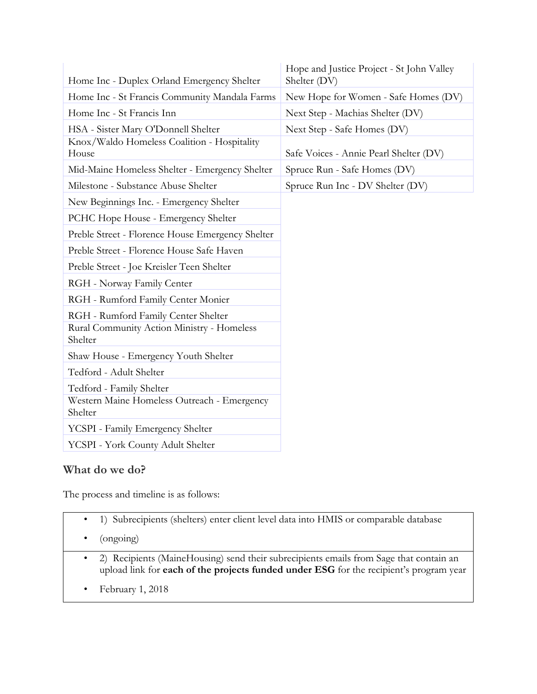| Home Inc - Duplex Orland Emergency Shelter             | Hope and Justice Project - St John Valley<br>Shelter (DV) |
|--------------------------------------------------------|-----------------------------------------------------------|
| Home Inc - St Francis Community Mandala Farms          | New Hope for Women - Safe Homes (DV)                      |
| Home Inc - St Francis Inn                              | Next Step - Machias Shelter (DV)                          |
| HSA - Sister Mary O'Donnell Shelter                    | Next Step - Safe Homes (DV)                               |
| Knox/Waldo Homeless Coalition - Hospitality<br>House   | Safe Voices - Annie Pearl Shelter (DV)                    |
| Mid-Maine Homeless Shelter - Emergency Shelter         | Spruce Run - Safe Homes (DV)                              |
| Milestone - Substance Abuse Shelter                    | Spruce Run Inc - DV Shelter (DV)                          |
| New Beginnings Inc. - Emergency Shelter                |                                                           |
| PCHC Hope House - Emergency Shelter                    |                                                           |
| Preble Street - Florence House Emergency Shelter       |                                                           |
| Preble Street - Florence House Safe Haven              |                                                           |
| Preble Street - Joe Kreisler Teen Shelter              |                                                           |
| RGH - Norway Family Center                             |                                                           |
| RGH - Rumford Family Center Monier                     |                                                           |
| RGH - Rumford Family Center Shelter                    |                                                           |
| Rural Community Action Ministry - Homeless<br>Shelter  |                                                           |
| Shaw House - Emergency Youth Shelter                   |                                                           |
| Tedford - Adult Shelter                                |                                                           |
| Tedford - Family Shelter                               |                                                           |
| Western Maine Homeless Outreach - Emergency<br>Shelter |                                                           |
| YCSPI - Family Emergency Shelter                       |                                                           |
| YCSPI - York County Adult Shelter                      |                                                           |

# **What do we do?**

The process and timeline is as follows:

- 1) Subrecipients (shelters) enter client level data into HMIS or comparable database
- (ongoing)
- 2) Recipients (MaineHousing) send their subrecipients emails from Sage that contain an upload link for **each of the projects funded under ESG** for the recipient's program year
- February 1, 2018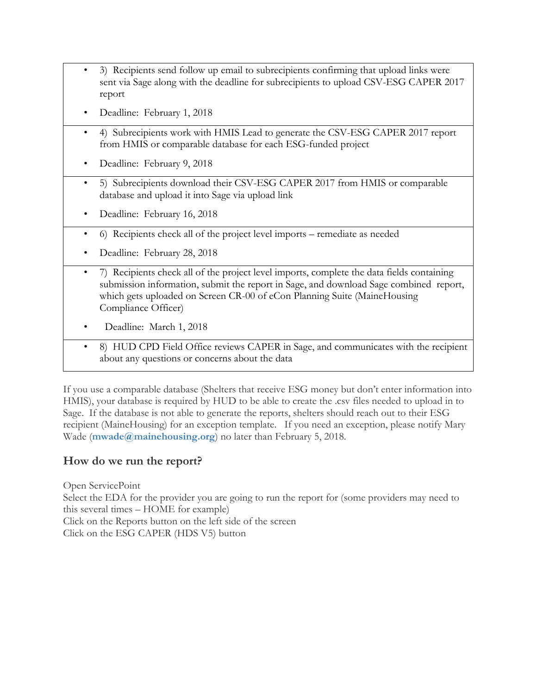- 3) Recipients send follow up email to subrecipients confirming that upload links were sent via Sage along with the deadline for subrecipients to upload CSV-ESG CAPER 2017 report
- Deadline: February 1, 2018
- 4) Subrecipients work with HMIS Lead to generate the CSV-ESG CAPER 2017 report from HMIS or comparable database for each ESG-funded project
- Deadline: February 9, 2018
- 5) Subrecipients download their CSV-ESG CAPER 2017 from HMIS or comparable database and upload it into Sage via upload link
- Deadline: February 16, 2018
- 6) Recipients check all of the project level imports remediate as needed
- Deadline: February 28, 2018
- 7) Recipients check all of the project level imports, complete the data fields containing submission information, submit the report in Sage, and download Sage combined report, which gets uploaded on Screen CR-00 of eCon Planning Suite (MaineHousing Compliance Officer)
- Deadline: March 1, 2018
- 8) HUD CPD Field Office reviews CAPER in Sage, and communicates with the recipient about any questions or concerns about the data

If you use a comparable database (Shelters that receive ESG money but don't enter information into HMIS), your database is required by HUD to be able to create the .csv files needed to upload in to Sage. If the database is not able to generate the reports, shelters should reach out to their ESG recipient (MaineHousing) for an exception template. If you need an exception, please notify Mary Wade (**[mwade@mainehousing.org](mailto:mwade@mainehousing.org)**) no later than February 5, 2018.

### **How do we run the report?**

Open ServicePoint Select the EDA for the provider you are going to run the report for (some providers may need to this several times – HOME for example) Click on the Reports button on the left side of the screen Click on the ESG CAPER (HDS V5) button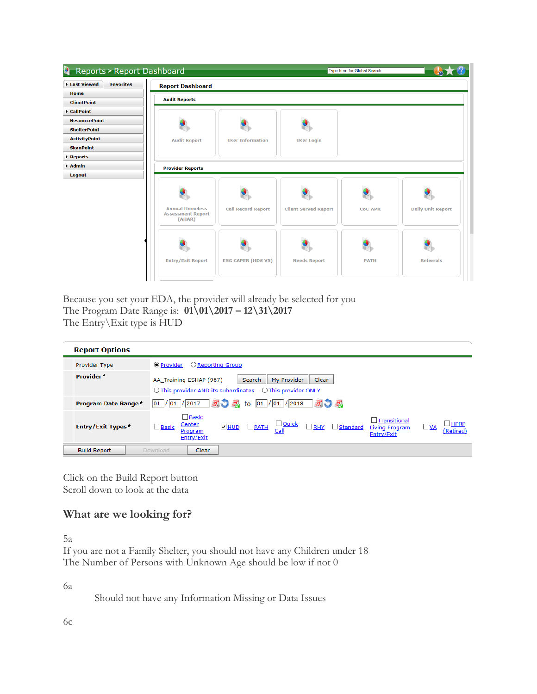| L.<br><b>Reports &gt; Report Dashboard</b> |                                                              |                           |                             | Type here for Global Search |                          |
|--------------------------------------------|--------------------------------------------------------------|---------------------------|-----------------------------|-----------------------------|--------------------------|
| Last Viewed<br><b>Favorites</b>            | <b>Report Dashboard</b>                                      |                           |                             |                             |                          |
| Home                                       | <b>Audit Reports</b>                                         |                           |                             |                             |                          |
| <b>ClientPoint</b>                         |                                                              |                           |                             |                             |                          |
| CallPoint                                  |                                                              |                           |                             |                             |                          |
| <b>ResourcePoint</b>                       |                                                              |                           |                             |                             |                          |
| <b>ShelterPoint</b>                        |                                                              |                           |                             |                             |                          |
| <b>ActivityPoint</b>                       | <b>Audit Report</b>                                          | <b>User Information</b>   | <b>User Login</b>           |                             |                          |
| <b>SkanPoint</b>                           |                                                              |                           |                             |                             |                          |
| Reports                                    |                                                              |                           |                             |                             |                          |
| $\blacktriangleright$ Admin                | <b>Provider Reports</b>                                      |                           |                             |                             |                          |
| Logout                                     |                                                              |                           |                             |                             |                          |
|                                            |                                                              |                           |                             |                             |                          |
|                                            | <b>Annual Homeless</b><br><b>Assessment Report</b><br>(AHAR) | <b>Call Record Report</b> | <b>Client Served Report</b> | <b>CoC-APR</b>              | <b>Daily Unit Report</b> |
|                                            | <b>Entry/Exit Report</b>                                     | <b>ESG CAPER (HDS V5)</b> | <b>Needs Report</b>         | <b>PATH</b>                 | <b>Referrals</b>         |

Because you set your EDA, the provider will already be selected for you The Program Date Range is: **01\01\2017 – 12\31\2017** The Entry\Exit type is HUD

| <b>Report Options</b>      |                                                                                                                                                                                                                                                                       |  |  |  |
|----------------------------|-----------------------------------------------------------------------------------------------------------------------------------------------------------------------------------------------------------------------------------------------------------------------|--|--|--|
| <b>Provider Type</b>       | ● Provider<br>$\bigcirc$ Reporting Group                                                                                                                                                                                                                              |  |  |  |
| Provider <sup>*</sup>      | My Provider<br>Clear<br>AA_Training ESHAP (967)<br><b>Search</b><br>$\bigcirc$ This provider AND its subordinates<br>◯ This provider ONLY                                                                                                                             |  |  |  |
| <b>Program Date Range*</b> | 初 2 to 01 / 01 / 2018 2 2<br> 01 / 01 / 2017                                                                                                                                                                                                                          |  |  |  |
| Entry/Exit Types*          | $\square$ Basic<br>$\Box$ Transitional<br>HPRP<br>$\Box$ Quick<br>Center<br>$\Box$ RHY<br>$\overline{\mathsf{M}}$ HUD<br>$\square$ Basic<br>$\Box$ PATH<br>$\Box$ Standard<br>$\Box$ VA<br>Living Program<br>(Retired)<br>Call<br>Program<br>Entry/Exit<br>Entry/Exit |  |  |  |
| <b>Build Report</b>        | Clear<br>Download                                                                                                                                                                                                                                                     |  |  |  |

Click on the Build Report button Scroll down to look at the data

# **What are we looking for?**

5a

If you are not a Family Shelter, you should not have any Children under 18 The Number of Persons with Unknown Age should be low if not 0

6a

Should not have any Information Missing or Data Issues

6c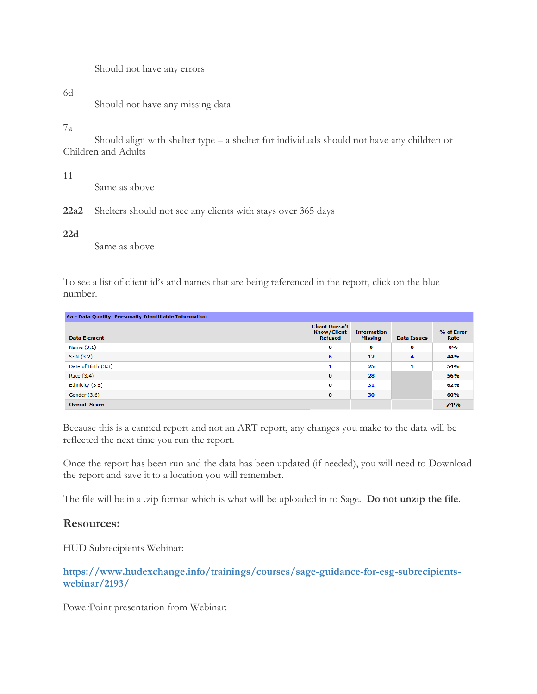Should not have any errors

#### 6d

Should not have any missing data

#### 7a

Should align with shelter type – a shelter for individuals should not have any children or Children and Adults

11

Same as above

**22a2** Shelters should not see any clients with stays over 365 days

#### **22d**

Same as above

To see a list of client id's and names that are being referenced in the report, click on the blue number.

| 6a - Data Quality: Personally Identifiable Information |                                                               |                                      |                    |                    |  |  |
|--------------------------------------------------------|---------------------------------------------------------------|--------------------------------------|--------------------|--------------------|--|--|
| <b>Data Element</b>                                    | <b>Client Doesn't</b><br><b>Know/Client</b><br><b>Refused</b> | <b>Information</b><br><b>Missing</b> | <b>Data Issues</b> | % of Error<br>Rate |  |  |
| Name $(3.1)$                                           | $\bf{0}$                                                      | 0                                    | 0                  | 0%                 |  |  |
| SSN (3.2)                                              | 6                                                             | 12                                   | 4                  | 44%                |  |  |
| Date of Birth (3.3)                                    | 1                                                             | 25                                   | 1                  | 54%                |  |  |
| Race (3.4)                                             | $\bf{0}$                                                      | 28                                   |                    | 56%                |  |  |
| Ethnicity (3.5)                                        | $\bf{0}$                                                      | 31                                   |                    | 62%                |  |  |
| Gender (3.6)                                           | 0                                                             | 30                                   |                    | 60%                |  |  |
| <b>Overall Score</b>                                   |                                                               |                                      |                    | 74%                |  |  |

Because this is a canned report and not an ART report, any changes you make to the data will be reflected the next time you run the report.

Once the report has been run and the data has been updated (if needed), you will need to Download the report and save it to a location you will remember.

The file will be in a .zip format which is what will be uploaded in to Sage. **Do not unzip the file**.

#### **Resources:**

HUD Subrecipients Webinar:

**[https://www.hudexchange.info/trainings/courses/sage-guidance-for-esg-subrecipients](https://www.hudexchange.info/trainings/courses/sage-guidance-for-esg-subrecipients-webinar/2193/)[webinar/2193/](https://www.hudexchange.info/trainings/courses/sage-guidance-for-esg-subrecipients-webinar/2193/)**

PowerPoint presentation from Webinar: